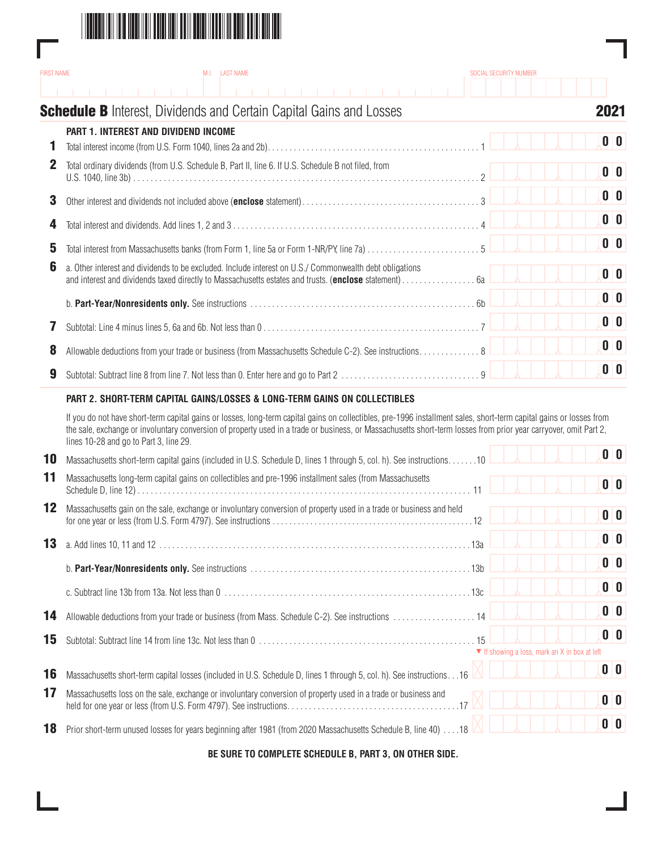

Г

| <b>FIRST NAME</b> | M.I. LAST NAME                                                                                                                                                                                                                                                                                                                                                                    | SOCIAL SECURITY NUMBER |                |
|-------------------|-----------------------------------------------------------------------------------------------------------------------------------------------------------------------------------------------------------------------------------------------------------------------------------------------------------------------------------------------------------------------------------|------------------------|----------------|
|                   |                                                                                                                                                                                                                                                                                                                                                                                   |                        |                |
|                   | <b>Schedule B</b> Interest, Dividends and Certain Capital Gains and Losses                                                                                                                                                                                                                                                                                                        |                        | 2021           |
|                   | PART 1. INTEREST AND DIVIDEND INCOME                                                                                                                                                                                                                                                                                                                                              |                        | 0 <sup>0</sup> |
| 1                 |                                                                                                                                                                                                                                                                                                                                                                                   |                        |                |
| $\mathbf 2$       | Total ordinary dividends (from U.S. Schedule B, Part II, line 6. If U.S. Schedule B not filed, from                                                                                                                                                                                                                                                                               |                        | 0 <sup>0</sup> |
| 3                 |                                                                                                                                                                                                                                                                                                                                                                                   |                        | 0 <sup>0</sup> |
| 4                 |                                                                                                                                                                                                                                                                                                                                                                                   |                        | 0 <sup>0</sup> |
| 5                 |                                                                                                                                                                                                                                                                                                                                                                                   |                        | 0 <sup>0</sup> |
| 6                 | a. Other interest and dividends to be excluded. Include interest on U.S./ Commonwealth debt obligations                                                                                                                                                                                                                                                                           |                        | 0 <sup>0</sup> |
|                   |                                                                                                                                                                                                                                                                                                                                                                                   |                        | 0 <sup>o</sup> |
| 7                 |                                                                                                                                                                                                                                                                                                                                                                                   |                        | 0 <sup>0</sup> |
| 8                 | Allowable deductions from your trade or business (from Massachusetts Schedule C-2). See instructions 8                                                                                                                                                                                                                                                                            |                        | 0 <sup>0</sup> |
| 9                 |                                                                                                                                                                                                                                                                                                                                                                                   |                        | 0 <sup>0</sup> |
|                   | PART 2. SHORT-TERM CAPITAL GAINS/LOSSES & LONG-TERM GAINS ON COLLECTIBLES                                                                                                                                                                                                                                                                                                         |                        |                |
|                   | If you do not have short-term capital gains or losses, long-term capital gains on collectibles, pre-1996 installment sales, short-term capital gains or losses from<br>the sale, exchange or involuntary conversion of property used in a trade or business, or Massachusetts short-term losses from prior year carryover, omit Part 2,<br>lines 10-28 and go to Part 3, line 29. |                        |                |
| 10                | Massachusetts short-term capital gains (included in U.S. Schedule D, lines 1 through 5, col. h). See instructions. 10                                                                                                                                                                                                                                                             |                        | 0 <sup>0</sup> |
| 11                | Massachusetts long-term capital gains on collectibles and pre-1996 installment sales (from Massachusetts                                                                                                                                                                                                                                                                          |                        | 0 <sup>0</sup> |
| 12                | Massachusetts gain on the sale, exchange or involuntary conversion of property used in a trade or business and held                                                                                                                                                                                                                                                               |                        | 0 <sup>0</sup> |
| 13                |                                                                                                                                                                                                                                                                                                                                                                                   |                        | 0 <sup>0</sup> |
|                   |                                                                                                                                                                                                                                                                                                                                                                                   |                        | 0 <sup>0</sup> |
|                   |                                                                                                                                                                                                                                                                                                                                                                                   |                        | 0 <sup>0</sup> |
|                   |                                                                                                                                                                                                                                                                                                                                                                                   |                        | n In           |

| 14 | Allowable deductions from your trade or business (from Mass. Schedule C-2). See instructions  14                     |  |                                                                  |                | 0 <sup>10</sup> |
|----|----------------------------------------------------------------------------------------------------------------------|--|------------------------------------------------------------------|----------------|-----------------|
| 15 |                                                                                                                      |  |                                                                  |                | 0 <sub>0</sub>  |
|    |                                                                                                                      |  | $\blacktriangledown$ If showing a loss, mark an X in box at left |                |                 |
| 16 | Massachusetts short-term capital losses (included in U.S. Schedule D, lines 1 through 5, col. h). See instructions16 |  |                                                                  |                | 0 <sub>0</sub>  |
| 17 | Massachusetts loss on the sale, exchange or involuntary conversion of property used in a trade or business and       |  |                                                                  | 0 <sub>0</sub> |                 |
| 18 | Prior short-term unused losses for years beginning after 1981 (from 2020 Massachusetts Schedule B, line 40) 18       |  |                                                                  |                | 0 <sub>0</sub>  |

**BE SURE TO COMPLETE SCHEDULE B, PART 3, ON OTHER SIDE.**